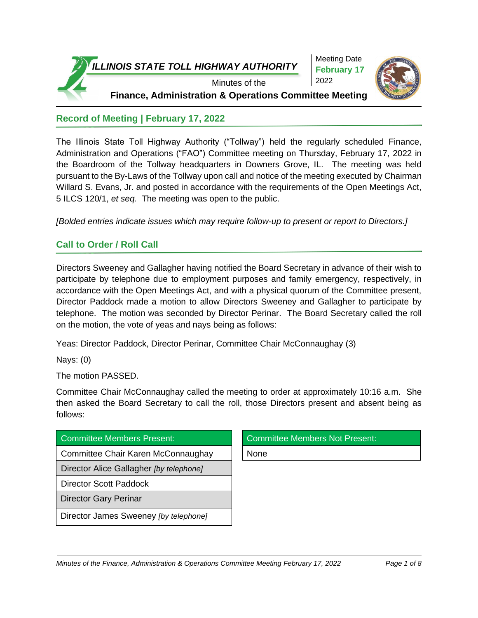



## **Record of Meeting | February 17, 2022**

The Illinois State Toll Highway Authority ("Tollway") held the regularly scheduled Finance, Administration and Operations ("FAO") Committee meeting on Thursday, February 17, 2022 in the Boardroom of the Tollway headquarters in Downers Grove, IL. The meeting was held pursuant to the By-Laws of the Tollway upon call and notice of the meeting executed by Chairman Willard S. Evans, Jr. and posted in accordance with the requirements of the Open Meetings Act, 5 ILCS 120/1, *et seq.* The meeting was open to the public.

*[Bolded entries indicate issues which may require follow-up to present or report to Directors.]*

# **Call to Order / Roll Call**

Directors Sweeney and Gallagher having notified the Board Secretary in advance of their wish to participate by telephone due to employment purposes and family emergency, respectively, in accordance with the Open Meetings Act, and with a physical quorum of the Committee present, Director Paddock made a motion to allow Directors Sweeney and Gallagher to participate by telephone. The motion was seconded by Director Perinar. The Board Secretary called the roll on the motion, the vote of yeas and nays being as follows:

Yeas: Director Paddock, Director Perinar, Committee Chair McConnaughay (3)

Nays: (0)

The motion PASSED.

Committee Chair McConnaughay called the meeting to order at approximately 10:16 a.m. She then asked the Board Secretary to call the roll, those Directors present and absent being as follows:

| Committee Members Present:              | <b>Committee Members Not Present:</b> |
|-----------------------------------------|---------------------------------------|
| Committee Chair Karen McConnaughay      | None                                  |
| Director Alice Gallagher [by telephone] |                                       |
| <b>Director Scott Paddock</b>           |                                       |
| <b>Director Gary Perinar</b>            |                                       |
| Director James Sweeney [by telephone]   |                                       |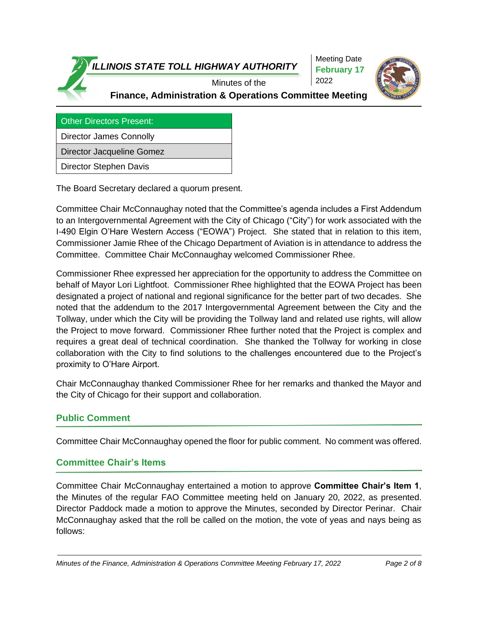

Other Directors Present:

Director James Connolly

Director Jacqueline Gomez

Director Stephen Davis

The Board Secretary declared a quorum present.

Committee Chair McConnaughay noted that the Committee's agenda includes a First Addendum to an Intergovernmental Agreement with the City of Chicago ("City") for work associated with the I-490 Elgin O'Hare Western Access ("EOWA") Project. She stated that in relation to this item, Commissioner Jamie Rhee of the Chicago Department of Aviation is in attendance to address the Committee. Committee Chair McConnaughay welcomed Commissioner Rhee.

Commissioner Rhee expressed her appreciation for the opportunity to address the Committee on behalf of Mayor Lori Lightfoot. Commissioner Rhee highlighted that the EOWA Project has been designated a project of national and regional significance for the better part of two decades. She noted that the addendum to the 2017 Intergovernmental Agreement between the City and the Tollway, under which the City will be providing the Tollway land and related use rights, will allow the Project to move forward. Commissioner Rhee further noted that the Project is complex and requires a great deal of technical coordination. She thanked the Tollway for working in close collaboration with the City to find solutions to the challenges encountered due to the Project's proximity to O'Hare Airport.

Chair McConnaughay thanked Commissioner Rhee for her remarks and thanked the Mayor and the City of Chicago for their support and collaboration.

## **Public Comment**

Committee Chair McConnaughay opened the floor for public comment. No comment was offered.

## **Committee Chair's Items**

Committee Chair McConnaughay entertained a motion to approve **Committee Chair's Item 1**, the Minutes of the regular FAO Committee meeting held on January 20, 2022, as presented. Director Paddock made a motion to approve the Minutes, seconded by Director Perinar. Chair McConnaughay asked that the roll be called on the motion, the vote of yeas and nays being as follows: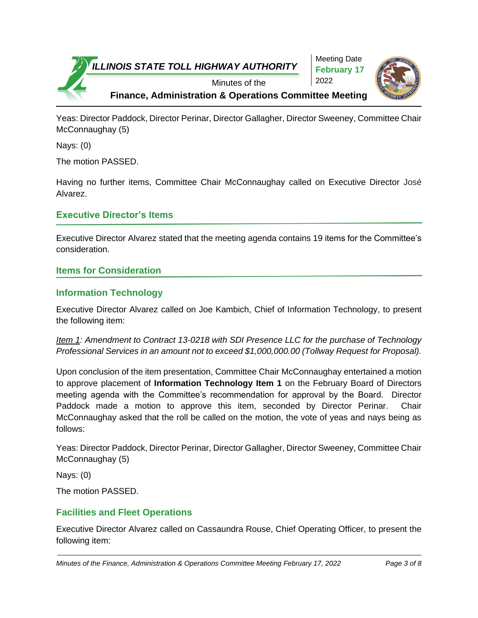

Yeas: Director Paddock, Director Perinar, Director Gallagher, Director Sweeney, Committee Chair McConnaughay (5)

Nays: (0)

The motion PASSED.

Having no further items, Committee Chair McConnaughay called on Executive Director José Alvarez.

## **Executive Director's Items**

Executive Director Alvarez stated that the meeting agenda contains 19 items for the Committee's consideration.

## **Items for Consideration**

# **Information Technology**

Executive Director Alvarez called on Joe Kambich, Chief of Information Technology, to present the following item:

*Item 1: Amendment to Contract 13-0218 with SDI Presence LLC for the purchase of Technology Professional Services in an amount not to exceed \$1,000,000.00 (Tollway Request for Proposal).*

Upon conclusion of the item presentation, Committee Chair McConnaughay entertained a motion to approve placement of **Information Technology Item 1** on the February Board of Directors meeting agenda with the Committee's recommendation for approval by the Board. Director Paddock made a motion to approve this item, seconded by Director Perinar. Chair McConnaughay asked that the roll be called on the motion, the vote of yeas and nays being as follows:

Yeas: Director Paddock, Director Perinar, Director Gallagher, Director Sweeney, Committee Chair McConnaughay (5)

Nays: (0)

The motion PASSED.

## **Facilities and Fleet Operations**

Executive Director Alvarez called on Cassaundra Rouse, Chief Operating Officer, to present the following item: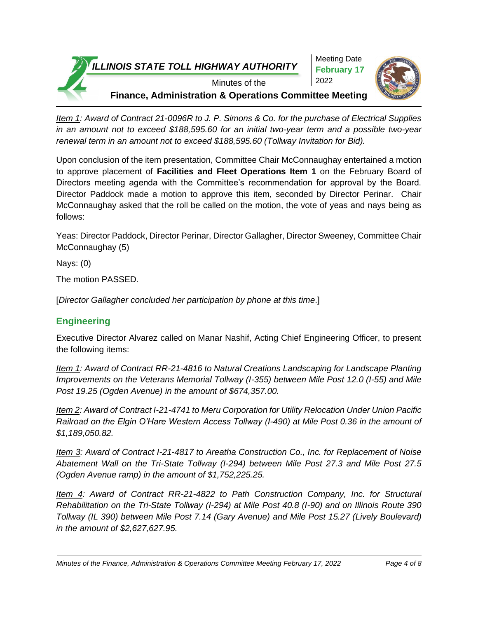

*Item 1: Award of Contract 21-0096R to J. P. Simons & Co. for the purchase of Electrical Supplies in an amount not to exceed \$188,595.60 for an initial two-year term and a possible two-year renewal term in an amount not to exceed \$188,595.60 (Tollway Invitation for Bid).*

Upon conclusion of the item presentation, Committee Chair McConnaughay entertained a motion to approve placement of **Facilities and Fleet Operations Item 1** on the February Board of Directors meeting agenda with the Committee's recommendation for approval by the Board. Director Paddock made a motion to approve this item, seconded by Director Perinar. Chair McConnaughay asked that the roll be called on the motion, the vote of yeas and nays being as follows:

Yeas: Director Paddock, Director Perinar, Director Gallagher, Director Sweeney, Committee Chair McConnaughay (5)

Nays: (0)

The motion PASSED.

[*Director Gallagher concluded her participation by phone at this time*.]

# **Engineering**

Executive Director Alvarez called on Manar Nashif, Acting Chief Engineering Officer, to present the following items:

*Item 1: Award of Contract RR-21-4816 to Natural Creations Landscaping for Landscape Planting Improvements on the Veterans Memorial Tollway (I-355) between Mile Post 12.0 (I-55) and Mile Post 19.25 (Ogden Avenue) in the amount of \$674,357.00.*

*Item 2: Award of Contract I-21-4741 to Meru Corporation for Utility Relocation Under Union Pacific Railroad on the Elgin O'Hare Western Access Tollway (I-490) at Mile Post 0.36 in the amount of \$1,189,050.82.* 

*Item 3: Award of Contract I-21-4817 to Areatha Construction Co., Inc. for Replacement of Noise Abatement Wall on the Tri-State Tollway (I-294) between Mile Post 27.3 and Mile Post 27.5 (Ogden Avenue ramp) in the amount of \$1,752,225.25.* 

*Item 4: Award of Contract RR-21-4822 to Path Construction Company, Inc. for Structural Rehabilitation on the Tri-State Tollway (I-294) at Mile Post 40.8 (I-90) and on Illinois Route 390 Tollway (IL 390) between Mile Post 7.14 (Gary Avenue) and Mile Post 15.27 (Lively Boulevard) in the amount of \$2,627,627.95.* 

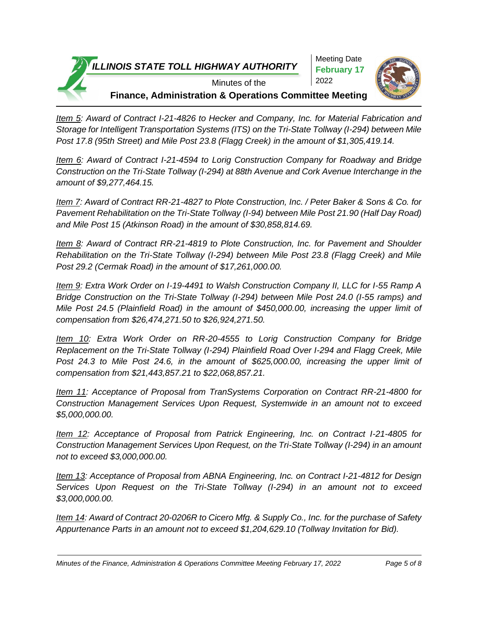

*Item 5: Award of Contract I-21-4826 to Hecker and Company, Inc. for Material Fabrication and Storage for Intelligent Transportation Systems (ITS) on the Tri-State Tollway (I-294) between Mile Post 17.8 (95th Street) and Mile Post 23.8 (Flagg Creek) in the amount of \$1,305,419.14.* 

*Item 6: Award of Contract I-21-4594 to Lorig Construction Company for Roadway and Bridge Construction on the Tri-State Tollway (I-294) at 88th Avenue and Cork Avenue Interchange in the amount of \$9,277,464.15.* 

*Item 7: Award of Contract RR-21-4827 to Plote Construction, Inc. / Peter Baker & Sons & Co. for Pavement Rehabilitation on the Tri-State Tollway (I-94) between Mile Post 21.90 (Half Day Road) and Mile Post 15 (Atkinson Road) in the amount of \$30,858,814.69.* 

*Item 8: Award of Contract RR-21-4819 to Plote Construction, Inc. for Pavement and Shoulder Rehabilitation on the Tri-State Tollway (I-294) between Mile Post 23.8 (Flagg Creek) and Mile Post 29.2 (Cermak Road) in the amount of \$17,261,000.00.* 

*Item 9: Extra Work Order on I-19-4491 to Walsh Construction Company II, LLC for I-55 Ramp A Bridge Construction on the Tri-State Tollway (I-294) between Mile Post 24.0 (I-55 ramps) and Mile Post 24.5 (Plainfield Road) in the amount of \$450,000.00, increasing the upper limit of compensation from \$26,474,271.50 to \$26,924,271.50.*

*Item 10: Extra Work Order on RR-20-4555 to Lorig Construction Company for Bridge Replacement on the Tri-State Tollway (I-294) Plainfield Road Over I-294 and Flagg Creek, Mile Post 24.3 to Mile Post 24.6, in the amount of \$625,000.00, increasing the upper limit of compensation from \$21,443,857.21 to \$22,068,857.21.* 

*Item 11: Acceptance of Proposal from TranSystems Corporation on Contract RR-21-4800 for Construction Management Services Upon Request, Systemwide in an amount not to exceed \$5,000,000.00.* 

*Item 12: Acceptance of Proposal from Patrick Engineering, Inc. on Contract I-21-4805 for Construction Management Services Upon Request, on the Tri-State Tollway (I-294) in an amount not to exceed \$3,000,000.00.*

*Item 13: Acceptance of Proposal from ABNA Engineering, Inc. on Contract I-21-4812 for Design Services Upon Request on the Tri-State Tollway (I-294) in an amount not to exceed \$3,000,000.00.* 

*Item 14: Award of Contract 20-0206R to Cicero Mfg. & Supply Co., Inc. for the purchase of Safety Appurtenance Parts in an amount not to exceed \$1,204,629.10 (Tollway Invitation for Bid).*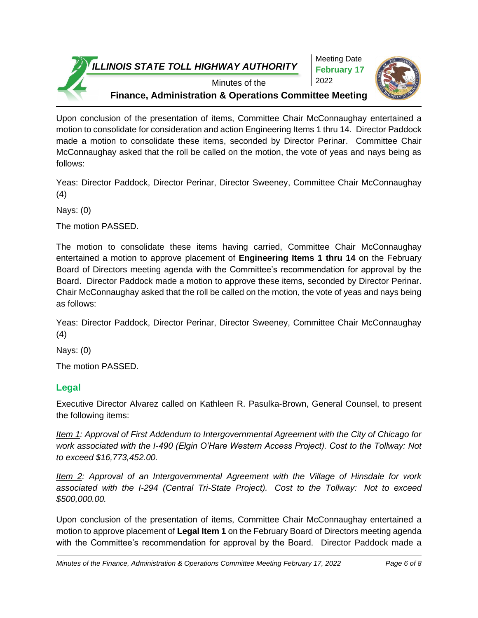

Meeting Date **February 17** 2022



Minutes of the

**Finance, Administration & Operations Committee Meeting**

Upon conclusion of the presentation of items, Committee Chair McConnaughay entertained a motion to consolidate for consideration and action Engineering Items 1 thru 14. Director Paddock made a motion to consolidate these items, seconded by Director Perinar. Committee Chair McConnaughay asked that the roll be called on the motion, the vote of yeas and nays being as follows:

Yeas: Director Paddock, Director Perinar, Director Sweeney, Committee Chair McConnaughay (4)

Nays: (0)

The motion PASSED.

The motion to consolidate these items having carried, Committee Chair McConnaughay entertained a motion to approve placement of **Engineering Items 1 thru 14** on the February Board of Directors meeting agenda with the Committee's recommendation for approval by the Board. Director Paddock made a motion to approve these items, seconded by Director Perinar. Chair McConnaughay asked that the roll be called on the motion, the vote of yeas and nays being as follows:

Yeas: Director Paddock, Director Perinar, Director Sweeney, Committee Chair McConnaughay (4)

Nays: (0)

The motion PASSED.

# **Legal**

Executive Director Alvarez called on Kathleen R. Pasulka-Brown, General Counsel, to present the following items:

*Item 1: Approval of First Addendum to Intergovernmental Agreement with the City of Chicago for work associated with the I-490 (Elgin O'Hare Western Access Project). Cost to the Tollway: Not to exceed \$16,773,452.00.*

*Item 2: Approval of an Intergovernmental Agreement with the Village of Hinsdale for work associated with the I-294 (Central Tri-State Project). Cost to the Tollway: Not to exceed \$500,000.00.*

Upon conclusion of the presentation of items, Committee Chair McConnaughay entertained a motion to approve placement of **Legal Item 1** on the February Board of Directors meeting agenda with the Committee's recommendation for approval by the Board. Director Paddock made a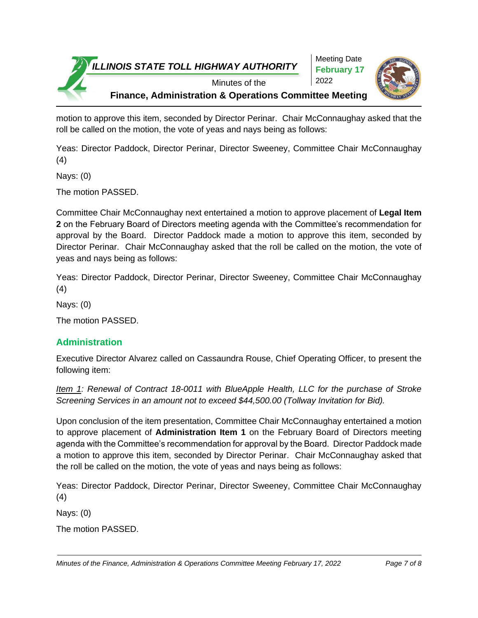

Meeting Date **February 17** 2022



motion to approve this item, seconded by Director Perinar. Chair McConnaughay asked that the roll be called on the motion, the vote of yeas and nays being as follows:

Yeas: Director Paddock, Director Perinar, Director Sweeney, Committee Chair McConnaughay (4)

Nays: (0)

The motion PASSED.

Committee Chair McConnaughay next entertained a motion to approve placement of **Legal Item 2** on the February Board of Directors meeting agenda with the Committee's recommendation for approval by the Board. Director Paddock made a motion to approve this item, seconded by Director Perinar. Chair McConnaughay asked that the roll be called on the motion, the vote of yeas and nays being as follows:

Yeas: Director Paddock, Director Perinar, Director Sweeney, Committee Chair McConnaughay (4)

Nays: (0)

The motion PASSED.

# **Administration**

Executive Director Alvarez called on Cassaundra Rouse, Chief Operating Officer, to present the following item:

*Item 1: Renewal of Contract 18-0011 with BlueApple Health, LLC for the purchase of Stroke Screening Services in an amount not to exceed \$44,500.00 (Tollway Invitation for Bid).*

Upon conclusion of the item presentation, Committee Chair McConnaughay entertained a motion to approve placement of **Administration Item 1** on the February Board of Directors meeting agenda with the Committee's recommendation for approval by the Board. Director Paddock made a motion to approve this item, seconded by Director Perinar. Chair McConnaughay asked that the roll be called on the motion, the vote of yeas and nays being as follows:

Yeas: Director Paddock, Director Perinar, Director Sweeney, Committee Chair McConnaughay (4)

Nays: (0)

The motion PASSED.